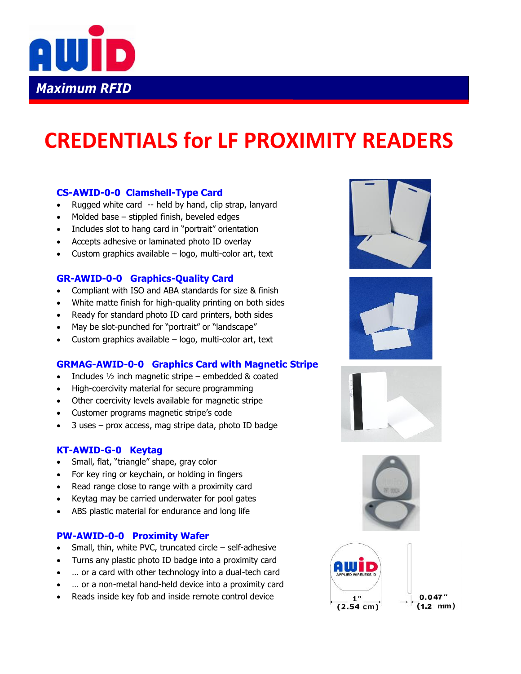

# **CREDENTIALS for LF PROXIMITY READERS**

## **CS-AWID-0-0 Clamshell-Type Card**

- Rugged white card -- held by hand, clip strap, lanyard
- Molded base stippled finish, beveled edges
- Includes slot to hang card in "portrait" orientation
- Accepts adhesive or laminated photo ID overlay
- Custom graphics available logo, multi-color art, text

## **GR-AWID-0-0 Graphics-Quality Card**

- Compliant with ISO and ABA standards for size & finish
- White matte finish for high-quality printing on both sides
- Ready for standard photo ID card printers, both sides
- May be slot-punched for "portrait" or "landscape"
- Custom graphics available logo, multi-color art, text

## **GRMAG-AWID-0-0 Graphics Card with Magnetic Stripe**

- Includes ½ inch magnetic stripe embedded & coated
- High-coercivity material for secure programming
- Other coercivity levels available for magnetic stripe
- Customer programs magnetic stripe's code
- 3 uses prox access, mag stripe data, photo ID badge

## **KT-AWID-G-0 Keytag**

- Small, flat, "triangle" shape, gray color
- For key ring or keychain, or holding in fingers
- Read range close to range with a proximity card
- Keytag may be carried underwater for pool gates
- ABS plastic material for endurance and long life

## **PW-AWID-0-0 Proximity Wafer**

- Small, thin, white PVC, truncated circle self-adhesive
- Turns any plastic photo ID badge into a proximity card
- … or a card with other technology into a dual-tech card
- … or a non-metal hand-held device into a proximity card
- Reads inside key fob and inside remote control device